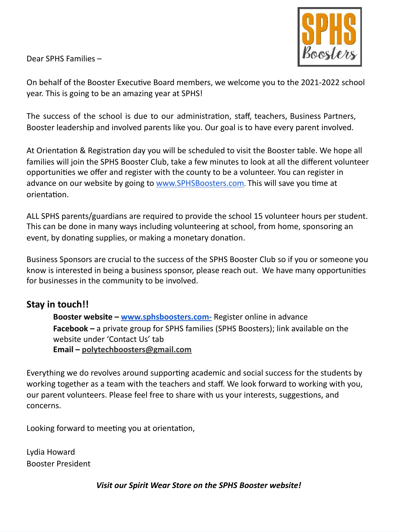Dear SPHS Families –



On behalf of the Booster Executive Board members, we welcome you to the 2021-2022 school year. This is going to be an amazing year at SPHS!

The success of the school is due to our administration, staff, teachers, Business Partners, Booster leadership and involved parents like you. Our goal is to have every parent involved.

At Orientation & Registration day you will be scheduled to visit the Booster table. We hope all families will join the SPHS Booster Club, take a few minutes to look at all the different volunteer opportunities we offer and register with the county to be a volunteer. You can register in advance on our website by going to [www.SPHSBoosters.com](http://www.sphsboosters.com/). This will save you time at orientation.

ALL SPHS parents/guardians are required to provide the school 15 volunteer hours per student. This can be done in many ways including volunteering at school, from home, sponsoring an event, by donating supplies, or making a monetary donation.

Business Sponsors are crucial to the success of the SPHS Booster Club so if you or someone you know is interested in being a business sponsor, please reach out. We have many opportunities for businesses in the community to be involved.

### **Stay in touch!!**

**Booster website – www.sphsboosters.com-** Register online in advance **Facebook –** a private group for SPHS families (SPHS Boosters); link available on the website under 'Contact Us' tab **Email – polytechboosters@gmail.com**

Everything we do revolves around supporting academic and social success for the students by working together as a team with the teachers and staff. We look forward to working with you, our parent volunteers. Please feel free to share with us your interests, suggestions, and concerns.

Looking forward to meeting you at orientation,

Lydia Howard Booster President

*Visit our Spirit Wear Store on the SPHS Booster website!*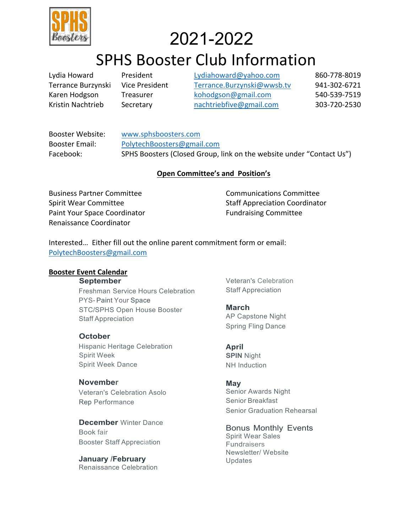

# 2021-2022

# SPHS Booster Club Information

Lydia Howard President Lydiahoward@yahoo.com 860-778-8019 Terrance Burzynski Vice President Terrance.Burzynski@wwsb.tv 941-302-6721 Karen Hodgson Treasurer kohodgson@gmail.com 540-539-7519 Kristin Nachtrieb Secretary nachtriebfive@gmail.com 303-720-2530

Booster Website: www.sphsboosters.com Booster Email: PolytechBoosters@gmail.com Facebook: SPHS Boosters (Closed Group, link on the website under "Contact Us")

### **Open Committee's and Position's**

Business Partner Committee Spirit Wear Committee Paint Your Space Coordinator Renaissance Coordinator

Communications Committee Staff Appreciation Coordinator Fundraising Committee

Interested… Either fill out the online parent commitment form or email: PolytechBoosters@gmail.com

### **Booster Event Calendar**

**September**

Freshman Service Hours Celebration PYS- Paint Your Space STC/SPHS Open House Booster Staff Appreciation

### **October**

Hispanic Heritage Celebration Spirit Week Spirit Week Dance

### **November**

Veteran's Celebration Asolo Rep Performance

**December** Winter Dance Book fair Booster Staff Appreciation

**January /February** Renaissance Celebration Veteran's Celebration Staff Appreciation

**March** AP Capstone Night Spring Fling Dance

**April SPIN** Night NH Induction

### **May**

Senior Awards Night Senior Breakfast Senior Graduation Rehearsal

Bonus Monthly Events Spirit Wear Sales Fundraisers Newsletter/ Website Updates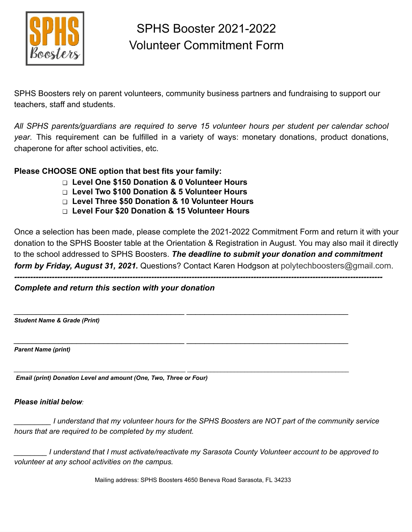

# SPHS Booster 2021-2022 Volunteer Commitment Form

SPHS Boosters rely on parent volunteers, community business partners and fundraising to support our teachers, staff and students.

*All SPHS parents/guardians are required to serve 15 volunteer hours per student per calendar school year*. This requirement can be fulfilled in a variety of ways: monetary donations, product donations, chaperone for after school activities, etc.

### **Please CHOOSE ONE option that best fits your family:**

- ❑ **Level One \$150 Donation & 0 Volunteer Hours**
- ❑ **Level Two \$100 Donation & 5 Volunteer Hours**
- ❑ **Level Three \$50 Donation & 10 Volunteer Hours**
- ❑ **Level Four \$20 Donation & 15 Volunteer Hours**

Once a selection has been made, please complete the 2021-2022 Commitment Form and return it with your donation to the SPHS Booster table at the Orientation & Registration in August. You may also mail it directly to the school addressed to SPHS Boosters. *The deadline to submit your donation and commitment form by Friday, August 31, 2021.* Questions? Contact Karen Hodgson at polytechboosters@gmail.com.

*-----------------------------------------------------------------------------------------------------------------------------------------*

*\_\_\_\_\_\_\_\_\_\_\_\_\_\_\_\_\_\_\_\_\_\_\_\_\_\_\_\_\_\_\_\_\_\_\_\_\_\_ \_\_\_\_\_\_\_\_\_\_\_\_\_\_\_\_\_\_\_\_\_\_\_\_\_\_\_\_\_\_\_\_\_\_\_\_*

*\_\_\_\_\_\_\_\_\_\_\_\_\_\_\_\_\_\_\_\_\_\_\_\_\_\_\_\_\_\_\_\_\_\_\_\_\_\_ \_\_\_\_\_\_\_\_\_\_\_\_\_\_\_\_\_\_\_\_\_\_\_\_\_\_\_\_\_\_\_\_\_\_\_\_*

*\_\_\_\_\_\_\_\_\_\_\_\_\_\_\_\_\_\_\_\_\_\_\_\_\_\_\_\_\_\_\_\_\_\_\_\_\_\_\_\_\_\_\_\_\_\_\_\_\_\_\_ \_\_\_\_\_\_\_\_\_\_\_\_\_\_\_\_\_\_\_\_\_\_\_\_\_\_\_\_\_\_\_\_\_\_\_\_\_\_\_\_\_\_\_\_\_\_\_\_*

### *Complete and return this section with your donation*

*Student Name & Grade (Print)*

*Parent Name (print)*

*Email (print) Donation Level and amount (One, Two, Three or Four)*

### *Please initial below:*

I understand that my volunteer hours for the SPHS Boosters are NOT part of the community service *hours that are required to be completed by my student.*

*\_\_\_\_\_\_\_\_ I understand that I must activate/reactivate my Sarasota County Volunteer account to be approved to volunteer at any school activities on the campus.*

Mailing address: SPHS Boosters 4650 Beneva Road Sarasota, FL 34233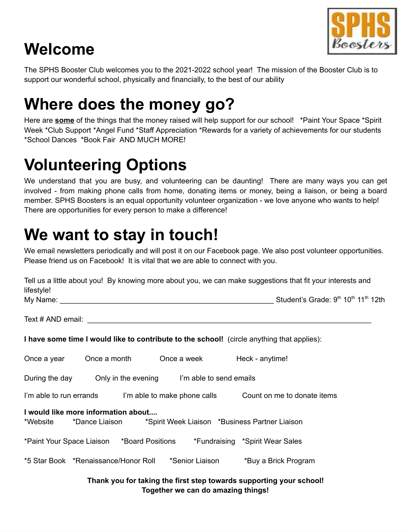

# **Welcome**

The SPHS Booster Club welcomes you to the 2021-2022 school year! The mission of the Booster Club is to support our wonderful school, physically and financially, to the best of our ability

# **Where does the money go?**

Here are **some** of the things that the money raised will help support for our school! \*Paint Your Space \*Spirit Week \*Club Support \*Angel Fund \*Staff Appreciation \*Rewards for a variety of achievements for our students \*School Dances \*Book Fair AND MUCH MORE!

# **Volunteering Options**

We understand that you are busy, and volunteering can be daunting! There are many ways you can get involved - from making phone calls from home, donating items or money, being a liaison, or being a board member. SPHS Boosters is an equal opportunity volunteer organization - we love anyone who wants to help! There are opportunities for every person to make a difference!

# **We want to stay in touch!**

We email newsletters periodically and will post it on our Facebook page. We also post volunteer opportunities. Please friend us on Facebook! It is vital that we are able to connect with you.

| Tell us a little about you! By knowing more about you, we can make suggestions that fit your interests and<br>lifestyle! |                                     |  |
|--------------------------------------------------------------------------------------------------------------------------|-------------------------------------|--|
|                                                                                                                          | Student's Grade: 9th 10th 11th 12th |  |
|                                                                                                                          |                                     |  |
| I have some time I would like to contribute to the school! (circle anything that applies):                               |                                     |  |
| Once a year Choce a month Once a week Heck - anytime!                                                                    |                                     |  |
| During the day Only in the evening I'm able to send emails                                                               |                                     |  |
| I'm able to run errands I'm able to make phone calls Count on me to donate items                                         |                                     |  |
| I would like more information about<br>*Website *Dance Liaison *Spirit Week Liaison *Business Partner Liaison            |                                     |  |
| *Paint Your Space Liaison *Board Positions *Fundraising *Spirit Wear Sales                                               |                                     |  |
| *5 Star Book *Renaissance/Honor Roll *Senior Liaison *Buy a Brick Program                                                |                                     |  |
| Thank you for taking the first stan towards supporting your school.                                                      |                                     |  |

### **Thank you for taking the first step towards supporting your school! Together we can do amazing things!**